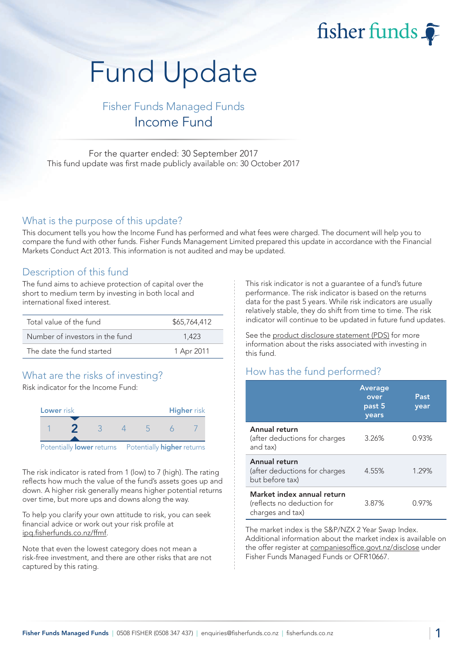# fisher funds

# Fund Update

# Fisher Funds Managed Funds Income Fund

For the quarter ended: 30 September 2017 This fund update was first made publicly available on: 30 October 2017

#### What is the purpose of this update?

This document tells you how the Income Fund has performed and what fees were charged. The document will help you to compare the fund with other funds. Fisher Funds Management Limited prepared this update in accordance with the Financial Markets Conduct Act 2013. This information is not audited and may be updated.

#### Description of this fund

The fund aims to achieve protection of capital over the short to medium term by investing in both local and international fixed interest.

| Total value of the fund         | \$65,764,412 |
|---------------------------------|--------------|
| Number of investors in the fund | 1.423        |
| The date the fund started       | 1 Apr 2011   |

# What are the risks of investing?

Risk indicator for the Income Fund:



The risk indicator is rated from 1 (low) to 7 (high). The rating reflects how much the value of the fund's assets goes up and down. A higher risk generally means higher potential returns over time, but more ups and downs along the way.

To help you clarify your own attitude to risk, you can seek financial advice or work out your risk profile at [ipq.fisherfunds.co.nz/ffmf.](https://ipq.fisherfunds.co.nz/ffmf)

Note that even the lowest category does not mean a risk-free investment, and there are other risks that are not captured by this rating.

This risk indicator is not a guarantee of a fund's future performance. The risk indicator is based on the returns data for the past 5 years. While risk indicators are usually relatively stable, they do shift from time to time. The risk indicator will continue to be updated in future fund updates.

See the [product disclosure statement \(PDS\)](https://fisherfunds.co.nz/assets/PDS/Fisher-Funds-Managed-Funds-PDS.pdf) for more information about the risks associated with investing in this fund.

# How has the fund performed?

|                                                                              | <b>Average</b><br>over<br>past 5<br>years | Past<br>year |
|------------------------------------------------------------------------------|-------------------------------------------|--------------|
| Annual return<br>(after deductions for charges<br>and tax)                   | 3.26%                                     | 0.93%        |
| Annual return<br>(after deductions for charges<br>but before tax)            | 4.55%                                     | 1.29%        |
| Market index annual return<br>(reflects no deduction for<br>charges and tax) | 3.87%                                     | $0.97\%$     |

The market index is the S&P/NZX 2 Year Swap Index. Additional information about the market index is available on the offer register at [companiesoffice.govt.nz/disclose](http://companiesoffice.govt.nz/disclose) under Fisher Funds Managed Funds or OFR10667.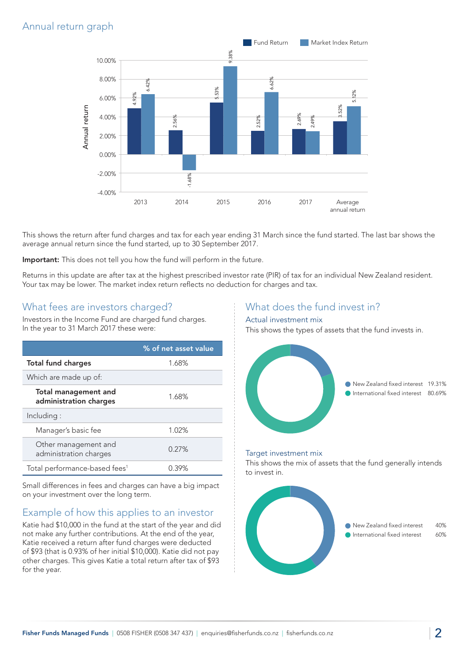# Annual return graph



This shows the return after fund charges and tax for each year ending 31 March since the fund started. The last bar shows the average annual return since the fund started, up to 30 September 2017.

Important: This does not tell you how the fund will perform in the future.

Returns in this update are after tax at the highest prescribed investor rate (PIR) of tax for an individual New Zealand resident. Your tax may be lower. The market index return reflects no deduction for charges and tax.

#### What fees are investors charged?

Investors in the Income Fund are charged fund charges. In the year to 31 March 2017 these were:

|                                                | % of net asset value |
|------------------------------------------------|----------------------|
| <b>Total fund charges</b>                      | 1.68%                |
| Which are made up of:                          |                      |
| Total management and<br>administration charges | 1.68%                |
| Including:                                     |                      |
| Manager's basic fee                            | 1.02%                |
| Other management and<br>administration charges | 0.27%                |
| Total performance-based fees <sup>1</sup>      | $0.39\%$             |

Small differences in fees and charges can have a big impact on your investment over the long term.

## Example of how this applies to an investor

Katie had \$10,000 in the fund at the start of the year and did not make any further contributions. At the end of the year, Katie received a return after fund charges were deducted of \$93 (that is 0.93% of her initial \$10,000). Katie did not pay other charges. This gives Katie a total return after tax of \$93 for the year.

### What does the fund invest in?

#### Actual investment mix

This shows the types of assets that the fund invests in.



#### Target investment mix

This shows the mix of assets that the fund generally intends to invest in.